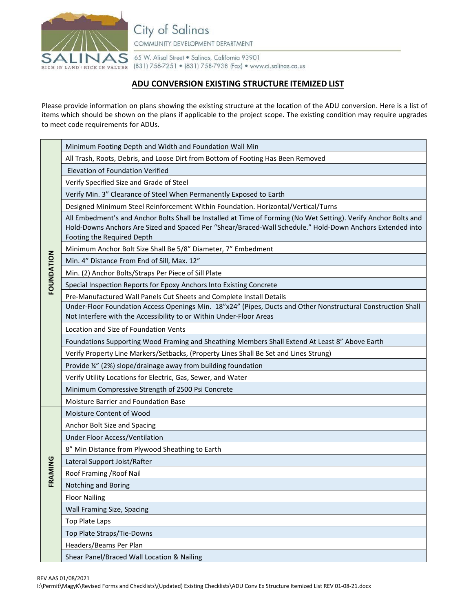

City of Salinas COMMUNITY DEVELOPMENT DEPARTMENT

65 W. Alisal Street . Salinas, California 93901 (831) 758-7251 • (831) 758-7938 (Fax) • www.ci.salinas.ca.us

## **ADU CONVERSION EXISTING STRUCTURE ITEMIZED LIST**

Please provide information on plans showing the existing structure at the location of the ADU conversion. Here is a list of items which should be shown on the plans if applicable to the project scope. The existing condition may require upgrades to meet code requirements for ADUs.

| FOUNDATION | Minimum Footing Depth and Width and Foundation Wall Min                                                                                                                                                                                                     |
|------------|-------------------------------------------------------------------------------------------------------------------------------------------------------------------------------------------------------------------------------------------------------------|
|            | All Trash, Roots, Debris, and Loose Dirt from Bottom of Footing Has Been Removed                                                                                                                                                                            |
|            | Elevation of Foundation Verified                                                                                                                                                                                                                            |
|            | Verify Specified Size and Grade of Steel                                                                                                                                                                                                                    |
|            | Verify Min. 3" Clearance of Steel When Permanently Exposed to Earth                                                                                                                                                                                         |
|            | Designed Minimum Steel Reinforcement Within Foundation. Horizontal/Vertical/Turns                                                                                                                                                                           |
|            | All Embedment's and Anchor Bolts Shall be Installed at Time of Forming (No Wet Setting). Verify Anchor Bolts and<br>Hold-Downs Anchors Are Sized and Spaced Per "Shear/Braced-Wall Schedule." Hold-Down Anchors Extended into<br>Footing the Required Depth |
|            | Minimum Anchor Bolt Size Shall Be 5/8" Diameter, 7" Embedment                                                                                                                                                                                               |
|            | Min. 4" Distance From End of Sill, Max. 12"                                                                                                                                                                                                                 |
|            | Min. (2) Anchor Bolts/Straps Per Piece of Sill Plate                                                                                                                                                                                                        |
|            | Special Inspection Reports for Epoxy Anchors Into Existing Concrete                                                                                                                                                                                         |
|            | Pre-Manufactured Wall Panels Cut Sheets and Complete Install Details                                                                                                                                                                                        |
|            | Under-Floor Foundation Access Openings Min. 18"x24" (Pipes, Ducts and Other Nonstructural Construction Shall<br>Not Interfere with the Accessibility to or Within Under-Floor Areas                                                                         |
|            | Location and Size of Foundation Vents                                                                                                                                                                                                                       |
|            | Foundations Supporting Wood Framing and Sheathing Members Shall Extend At Least 8" Above Earth                                                                                                                                                              |
|            | Verify Property Line Markers/Setbacks, (Property Lines Shall Be Set and Lines Strung)                                                                                                                                                                       |
|            | Provide ¼" (2%) slope/drainage away from building foundation                                                                                                                                                                                                |
|            | Verify Utility Locations for Electric, Gas, Sewer, and Water                                                                                                                                                                                                |
|            | Minimum Compressive Strength of 2500 Psi Concrete                                                                                                                                                                                                           |
|            | Moisture Barrier and Foundation Base                                                                                                                                                                                                                        |
| FRAMING    | Moisture Content of Wood                                                                                                                                                                                                                                    |
|            | Anchor Bolt Size and Spacing                                                                                                                                                                                                                                |
|            | Under Floor Access/Ventilation                                                                                                                                                                                                                              |
|            | 8" Min Distance from Plywood Sheathing to Earth                                                                                                                                                                                                             |
|            | Lateral Support Joist/Rafter                                                                                                                                                                                                                                |
|            | Roof Framing / Roof Nail                                                                                                                                                                                                                                    |
|            | Notching and Boring                                                                                                                                                                                                                                         |
|            | <b>Floor Nailing</b>                                                                                                                                                                                                                                        |
|            | Wall Framing Size, Spacing                                                                                                                                                                                                                                  |
|            | Top Plate Laps                                                                                                                                                                                                                                              |
|            | Top Plate Straps/Tie-Downs                                                                                                                                                                                                                                  |
|            | Headers/Beams Per Plan                                                                                                                                                                                                                                      |
|            | Shear Panel/Braced Wall Location & Nailing                                                                                                                                                                                                                  |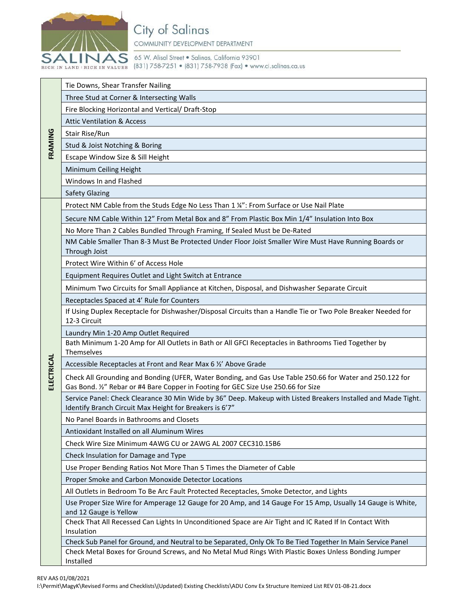

## City of Salinas

COMMUNITY DEVELOPMENT DEPARTMENT

65 W. Alisal Street . Salinas, California 93901 RICH IN LAND | RICH IN VALUES (831) 758-7251 • (831) 758-7938 (Fax) • www.ci.salinas.ca.us

| FRAMING    | Tie Downs, Shear Transfer Nailing                                                                                                                                                              |
|------------|------------------------------------------------------------------------------------------------------------------------------------------------------------------------------------------------|
|            | Three Stud at Corner & Intersecting Walls                                                                                                                                                      |
|            | Fire Blocking Horizontal and Vertical/ Draft-Stop                                                                                                                                              |
|            | <b>Attic Ventilation &amp; Access</b>                                                                                                                                                          |
|            | Stair Rise/Run                                                                                                                                                                                 |
|            | Stud & Joist Notching & Boring                                                                                                                                                                 |
|            | Escape Window Size & Sill Height                                                                                                                                                               |
|            | Minimum Ceiling Height                                                                                                                                                                         |
|            | Windows In and Flashed                                                                                                                                                                         |
|            | <b>Safety Glazing</b>                                                                                                                                                                          |
|            | Protect NM Cable from the Studs Edge No Less Than 1 %": From Surface or Use Nail Plate                                                                                                         |
|            | Secure NM Cable Within 12" From Metal Box and 8" From Plastic Box Min 1/4" Insulation Into Box                                                                                                 |
|            | No More Than 2 Cables Bundled Through Framing, If Sealed Must be De-Rated                                                                                                                      |
|            | NM Cable Smaller Than 8-3 Must Be Protected Under Floor Joist Smaller Wire Must Have Running Boards or<br>Through Joist                                                                        |
|            | Protect Wire Within 6' of Access Hole                                                                                                                                                          |
|            | Equipment Requires Outlet and Light Switch at Entrance                                                                                                                                         |
|            | Minimum Two Circuits for Small Appliance at Kitchen, Disposal, and Dishwasher Separate Circuit                                                                                                 |
|            | Receptacles Spaced at 4' Rule for Counters                                                                                                                                                     |
|            | If Using Duplex Receptacle for Dishwasher/Disposal Circuits than a Handle Tie or Two Pole Breaker Needed for<br>12-3 Circuit                                                                   |
|            | Laundry Min 1-20 Amp Outlet Required                                                                                                                                                           |
|            | Bath Minimum 1-20 Amp for All Outlets in Bath or All GFCI Receptacles in Bathrooms Tied Together by                                                                                            |
|            | Themselves                                                                                                                                                                                     |
| ELECTRICAL | Accessible Receptacles at Front and Rear Max 6 1/2' Above Grade                                                                                                                                |
|            | Check All Grounding and Bonding (UFER, Water Bonding, and Gas Use Table 250.66 for Water and 250.122 for<br>Gas Bond. 1/2" Rebar or #4 Bare Copper in Footing for GEC Size Use 250.66 for Size |
|            | Service Panel: Check Clearance 30 Min Wide by 36" Deep. Makeup with Listed Breakers Installed and Made Tight.<br>Identify Branch Circuit Max Height for Breakers is 6'7"                       |
|            | No Panel Boards in Bathrooms and Closets                                                                                                                                                       |
|            | Antioxidant Installed on all Aluminum Wires                                                                                                                                                    |
|            | Check Wire Size Minimum 4AWG CU or 2AWG AL 2007 CEC310.15B6                                                                                                                                    |
|            | Check Insulation for Damage and Type                                                                                                                                                           |
|            | Use Proper Bending Ratios Not More Than 5 Times the Diameter of Cable                                                                                                                          |
|            | Proper Smoke and Carbon Monoxide Detector Locations                                                                                                                                            |
|            | All Outlets in Bedroom To Be Arc Fault Protected Receptacles, Smoke Detector, and Lights                                                                                                       |
|            | Use Proper Size Wire for Amperage 12 Gauge for 20 Amp, and 14 Gauge For 15 Amp, Usually 14 Gauge is White,<br>and 12 Gauge is Yellow                                                           |
|            | Check That All Recessed Can Lights In Unconditioned Space are Air Tight and IC Rated If In Contact With<br>Insulation                                                                          |
|            | Check Sub Panel for Ground, and Neutral to be Separated, Only Ok To Be Tied Together In Main Service Panel                                                                                     |
|            | Check Metal Boxes for Ground Screws, and No Metal Mud Rings With Plastic Boxes Unless Bonding Jumper<br>Installed                                                                              |
|            |                                                                                                                                                                                                |